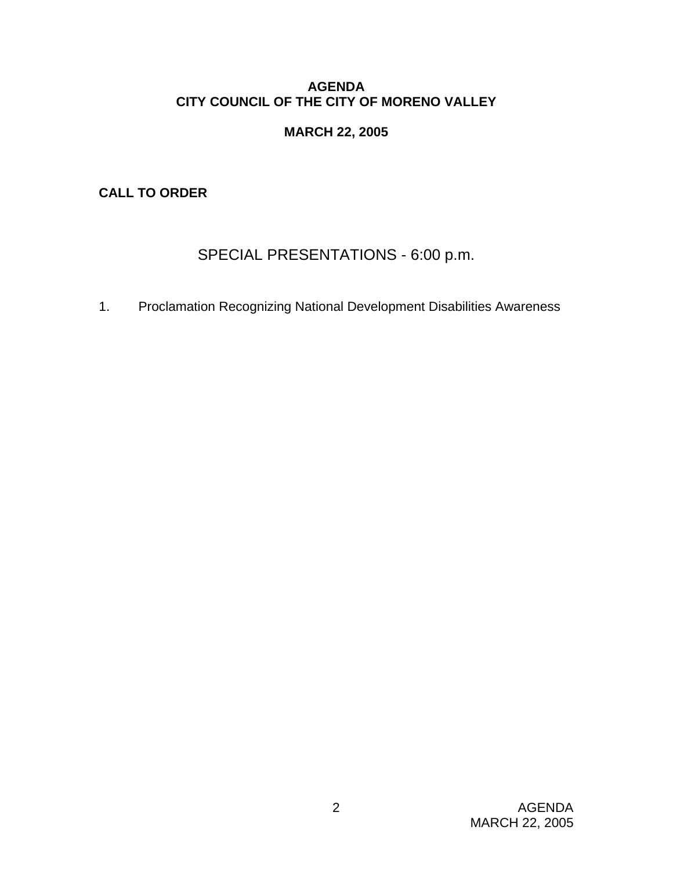## **AGENDA CITY COUNCIL OF THE CITY OF MORENO VALLEY**

# **MARCH 22, 2005**

**CALL TO ORDER** 

# SPECIAL PRESENTATIONS - 6:00 p.m.

1. Proclamation Recognizing National Development Disabilities Awareness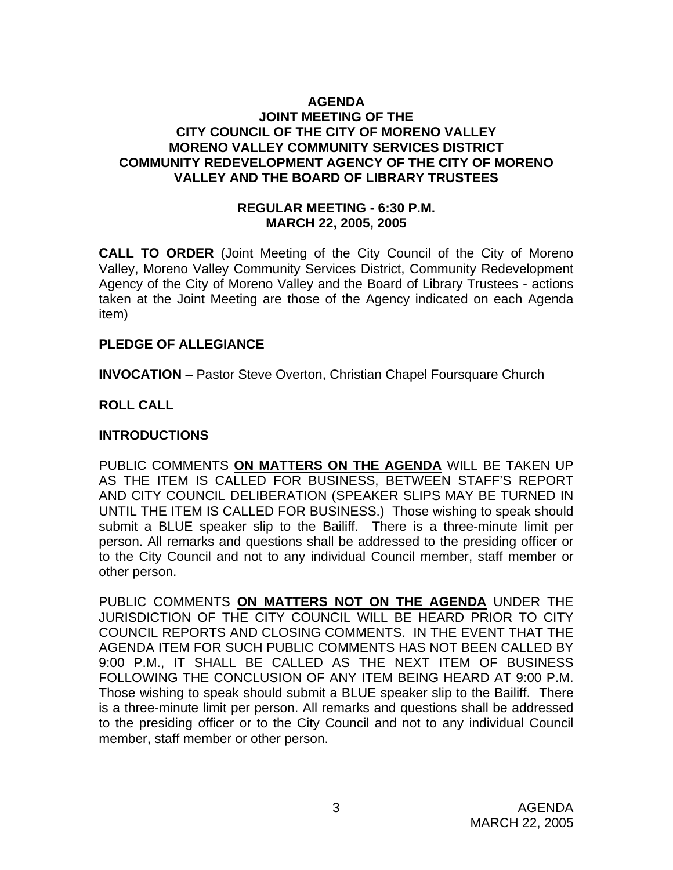#### **AGENDA JOINT MEETING OF THE CITY COUNCIL OF THE CITY OF MORENO VALLEY MORENO VALLEY COMMUNITY SERVICES DISTRICT COMMUNITY REDEVELOPMENT AGENCY OF THE CITY OF MORENO VALLEY AND THE BOARD OF LIBRARY TRUSTEES**

#### **REGULAR MEETING - 6:30 P.M. MARCH 22, 2005, 2005**

**CALL TO ORDER** (Joint Meeting of the City Council of the City of Moreno Valley, Moreno Valley Community Services District, Community Redevelopment Agency of the City of Moreno Valley and the Board of Library Trustees - actions taken at the Joint Meeting are those of the Agency indicated on each Agenda item)

#### **PLEDGE OF ALLEGIANCE**

**INVOCATION** – Pastor Steve Overton, Christian Chapel Foursquare Church

#### **ROLL CALL**

#### **INTRODUCTIONS**

PUBLIC COMMENTS **ON MATTERS ON THE AGENDA** WILL BE TAKEN UP AS THE ITEM IS CALLED FOR BUSINESS, BETWEEN STAFF'S REPORT AND CITY COUNCIL DELIBERATION (SPEAKER SLIPS MAY BE TURNED IN UNTIL THE ITEM IS CALLED FOR BUSINESS.) Those wishing to speak should submit a BLUE speaker slip to the Bailiff. There is a three-minute limit per person. All remarks and questions shall be addressed to the presiding officer or to the City Council and not to any individual Council member, staff member or other person.

PUBLIC COMMENTS **ON MATTERS NOT ON THE AGENDA** UNDER THE JURISDICTION OF THE CITY COUNCIL WILL BE HEARD PRIOR TO CITY COUNCIL REPORTS AND CLOSING COMMENTS. IN THE EVENT THAT THE AGENDA ITEM FOR SUCH PUBLIC COMMENTS HAS NOT BEEN CALLED BY 9:00 P.M., IT SHALL BE CALLED AS THE NEXT ITEM OF BUSINESS FOLLOWING THE CONCLUSION OF ANY ITEM BEING HEARD AT 9:00 P.M. Those wishing to speak should submit a BLUE speaker slip to the Bailiff. There is a three-minute limit per person. All remarks and questions shall be addressed to the presiding officer or to the City Council and not to any individual Council member, staff member or other person.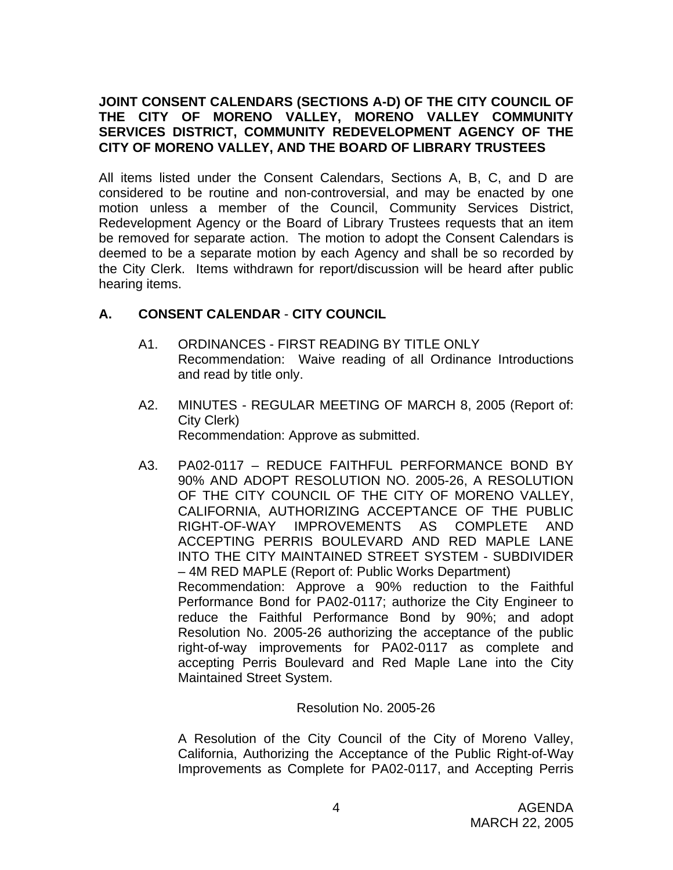## **JOINT CONSENT CALENDARS (SECTIONS A-D) OF THE CITY COUNCIL OF THE CITY OF MORENO VALLEY, MORENO VALLEY COMMUNITY SERVICES DISTRICT, COMMUNITY REDEVELOPMENT AGENCY OF THE CITY OF MORENO VALLEY, AND THE BOARD OF LIBRARY TRUSTEES**

All items listed under the Consent Calendars, Sections A, B, C, and D are considered to be routine and non-controversial, and may be enacted by one motion unless a member of the Council, Community Services District, Redevelopment Agency or the Board of Library Trustees requests that an item be removed for separate action. The motion to adopt the Consent Calendars is deemed to be a separate motion by each Agency and shall be so recorded by the City Clerk. Items withdrawn for report/discussion will be heard after public hearing items.

# **A. CONSENT CALENDAR** - **CITY COUNCIL**

- A1. ORDINANCES FIRST READING BY TITLE ONLY Recommendation: Waive reading of all Ordinance Introductions and read by title only.
- A2. MINUTES REGULAR MEETING OF MARCH 8, 2005 (Report of: City Clerk) Recommendation: Approve as submitted.
- A3. PA02-0117 REDUCE FAITHFUL PERFORMANCE BOND BY 90% AND ADOPT RESOLUTION NO. 2005-26, A RESOLUTION OF THE CITY COUNCIL OF THE CITY OF MORENO VALLEY, CALIFORNIA, AUTHORIZING ACCEPTANCE OF THE PUBLIC RIGHT-OF-WAY IMPROVEMENTS AS COMPLETE AND ACCEPTING PERRIS BOULEVARD AND RED MAPLE LANE INTO THE CITY MAINTAINED STREET SYSTEM - SUBDIVIDER – 4M RED MAPLE (Report of: Public Works Department) Recommendation: Approve a 90% reduction to the Faithful Performance Bond for PA02-0117; authorize the City Engineer to reduce the Faithful Performance Bond by 90%; and adopt Resolution No. 2005-26 authorizing the acceptance of the public right-of-way improvements for PA02-0117 as complete and accepting Perris Boulevard and Red Maple Lane into the City Maintained Street System.

#### Resolution No. 2005-26

A Resolution of the City Council of the City of Moreno Valley, California, Authorizing the Acceptance of the Public Right-of-Way Improvements as Complete for PA02-0117, and Accepting Perris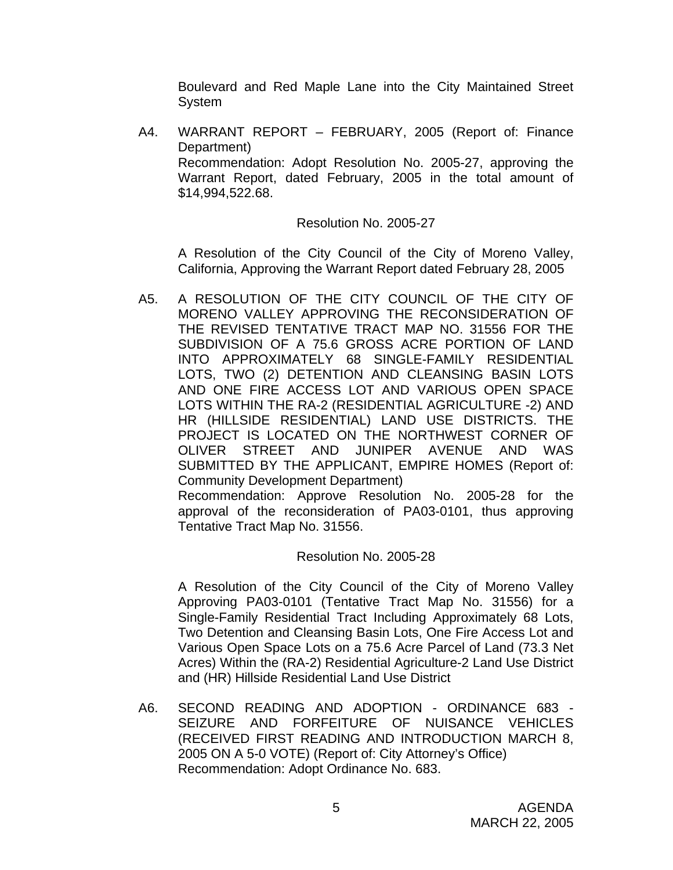Boulevard and Red Maple Lane into the City Maintained Street System

A4. WARRANT REPORT – FEBRUARY, 2005 (Report of: Finance Department) Recommendation: Adopt Resolution No. 2005-27, approving the Warrant Report, dated February, 2005 in the total amount of \$14,994,522.68.

#### Resolution No. 2005-27

A Resolution of the City Council of the City of Moreno Valley, California, Approving the Warrant Report dated February 28, 2005

A5. A RESOLUTION OF THE CITY COUNCIL OF THE CITY OF MORENO VALLEY APPROVING THE RECONSIDERATION OF THE REVISED TENTATIVE TRACT MAP NO. 31556 FOR THE SUBDIVISION OF A 75.6 GROSS ACRE PORTION OF LAND INTO APPROXIMATELY 68 SINGLE-FAMILY RESIDENTIAL LOTS, TWO (2) DETENTION AND CLEANSING BASIN LOTS AND ONE FIRE ACCESS LOT AND VARIOUS OPEN SPACE LOTS WITHIN THE RA-2 (RESIDENTIAL AGRICULTURE -2) AND HR (HILLSIDE RESIDENTIAL) LAND USE DISTRICTS. THE PROJECT IS LOCATED ON THE NORTHWEST CORNER OF OLIVER STREET AND JUNIPER AVENUE AND WAS SUBMITTED BY THE APPLICANT, EMPIRE HOMES (Report of: Community Development Department) Recommendation: Approve Resolution No. 2005-28 for the

approval of the reconsideration of PA03-0101, thus approving Tentative Tract Map No. 31556.

# Resolution No. 2005-28

A Resolution of the City Council of the City of Moreno Valley Approving PA03-0101 (Tentative Tract Map No. 31556) for a Single-Family Residential Tract Including Approximately 68 Lots, Two Detention and Cleansing Basin Lots, One Fire Access Lot and Various Open Space Lots on a 75.6 Acre Parcel of Land (73.3 Net Acres) Within the (RA-2) Residential Agriculture-2 Land Use District and (HR) Hillside Residential Land Use District

A6. SECOND READING AND ADOPTION - ORDINANCE 683 - SEIZURE AND FORFEITURE OF NUISANCE VEHICLES (RECEIVED FIRST READING AND INTRODUCTION MARCH 8, 2005 ON A 5-0 VOTE) (Report of: City Attorney's Office) Recommendation: Adopt Ordinance No. 683.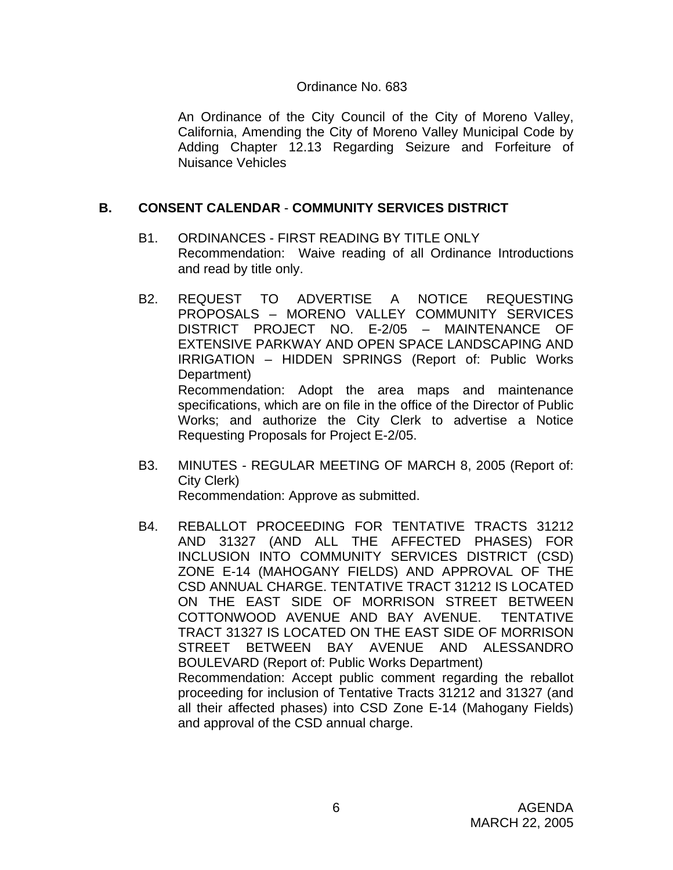#### Ordinance No. 683

An Ordinance of the City Council of the City of Moreno Valley, California, Amending the City of Moreno Valley Municipal Code by Adding Chapter 12.13 Regarding Seizure and Forfeiture of Nuisance Vehicles

## **B. CONSENT CALENDAR** - **COMMUNITY SERVICES DISTRICT**

- B1. ORDINANCES FIRST READING BY TITLE ONLY Recommendation: Waive reading of all Ordinance Introductions and read by title only.
- B2. REQUEST TO ADVERTISE A NOTICE REQUESTING PROPOSALS – MORENO VALLEY COMMUNITY SERVICES DISTRICT PROJECT NO. E-2/05 – MAINTENANCE OF EXTENSIVE PARKWAY AND OPEN SPACE LANDSCAPING AND IRRIGATION – HIDDEN SPRINGS (Report of: Public Works Department) Recommendation: Adopt the area maps and maintenance specifications, which are on file in the office of the Director of Public Works; and authorize the City Clerk to advertise a Notice Requesting Proposals for Project E-2/05.
- B3. MINUTES REGULAR MEETING OF MARCH 8, 2005 (Report of: City Clerk) Recommendation: Approve as submitted.
- B4. REBALLOT PROCEEDING FOR TENTATIVE TRACTS 31212 AND 31327 (AND ALL THE AFFECTED PHASES) FOR INCLUSION INTO COMMUNITY SERVICES DISTRICT (CSD) ZONE E-14 (MAHOGANY FIELDS) AND APPROVAL OF THE CSD ANNUAL CHARGE. TENTATIVE TRACT 31212 IS LOCATED ON THE EAST SIDE OF MORRISON STREET BETWEEN COTTONWOOD AVENUE AND BAY AVENUE. TENTATIVE TRACT 31327 IS LOCATED ON THE EAST SIDE OF MORRISON STREET BETWEEN BAY AVENUE AND ALESSANDRO BOULEVARD (Report of: Public Works Department) Recommendation: Accept public comment regarding the reballot proceeding for inclusion of Tentative Tracts 31212 and 31327 (and all their affected phases) into CSD Zone E-14 (Mahogany Fields) and approval of the CSD annual charge.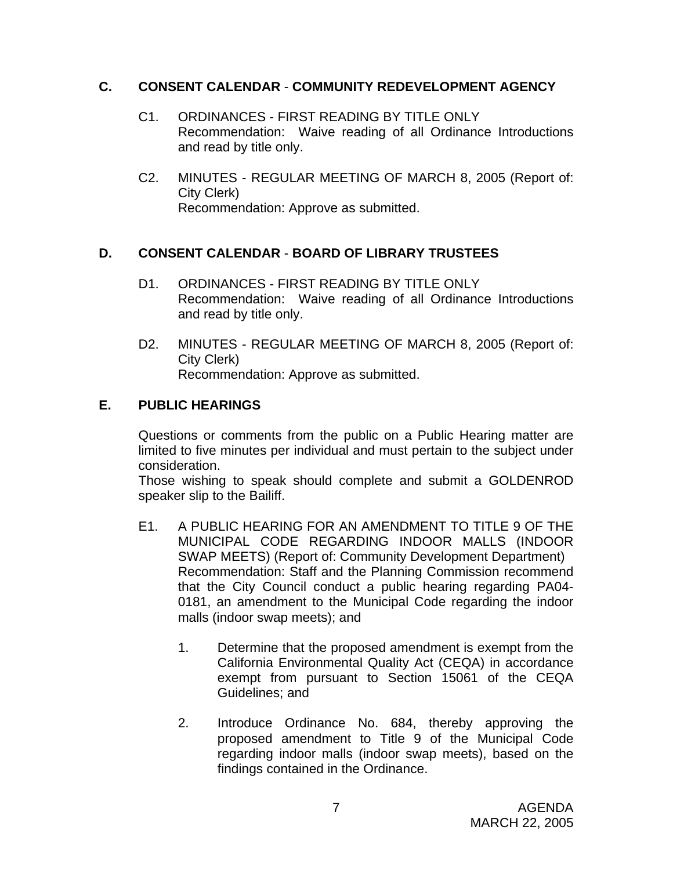#### **C. CONSENT CALENDAR** - **COMMUNITY REDEVELOPMENT AGENCY**

- C1. ORDINANCES FIRST READING BY TITLE ONLY Recommendation: Waive reading of all Ordinance Introductions and read by title only.
- C2. MINUTES REGULAR MEETING OF MARCH 8, 2005 (Report of: City Clerk) Recommendation: Approve as submitted.

# **D. CONSENT CALENDAR** - **BOARD OF LIBRARY TRUSTEES**

- D1. ORDINANCES FIRST READING BY TITLE ONLY Recommendation: Waive reading of all Ordinance Introductions and read by title only.
- D2. MINUTES REGULAR MEETING OF MARCH 8, 2005 (Report of: City Clerk) Recommendation: Approve as submitted.

## **E. PUBLIC HEARINGS**

Questions or comments from the public on a Public Hearing matter are limited to five minutes per individual and must pertain to the subject under consideration.

 Those wishing to speak should complete and submit a GOLDENROD speaker slip to the Bailiff.

- E1. A PUBLIC HEARING FOR AN AMENDMENT TO TITLE 9 OF THE MUNICIPAL CODE REGARDING INDOOR MALLS (INDOOR SWAP MEETS) (Report of: Community Development Department) Recommendation: Staff and the Planning Commission recommend that the City Council conduct a public hearing regarding PA04- 0181, an amendment to the Municipal Code regarding the indoor malls (indoor swap meets); and
	- 1. Determine that the proposed amendment is exempt from the California Environmental Quality Act (CEQA) in accordance exempt from pursuant to Section 15061 of the CEQA Guidelines; and
	- 2. Introduce Ordinance No. 684, thereby approving the proposed amendment to Title 9 of the Municipal Code regarding indoor malls (indoor swap meets), based on the findings contained in the Ordinance.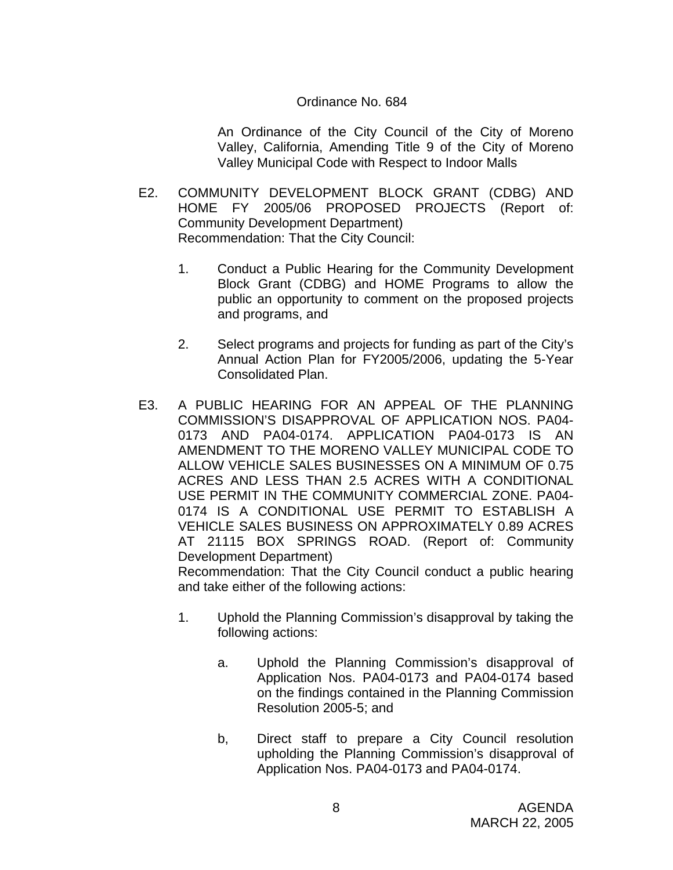#### Ordinance No. 684

An Ordinance of the City Council of the City of Moreno Valley, California, Amending Title 9 of the City of Moreno Valley Municipal Code with Respect to Indoor Malls

- E2. COMMUNITY DEVELOPMENT BLOCK GRANT (CDBG) AND HOME FY 2005/06 PROPOSED PROJECTS (Report of: Community Development Department) Recommendation: That the City Council:
	- 1. Conduct a Public Hearing for the Community Development Block Grant (CDBG) and HOME Programs to allow the public an opportunity to comment on the proposed projects and programs, and
	- 2. Select programs and projects for funding as part of the City's Annual Action Plan for FY2005/2006, updating the 5-Year Consolidated Plan.
- E3. A PUBLIC HEARING FOR AN APPEAL OF THE PLANNING COMMISSION'S DISAPPROVAL OF APPLICATION NOS. PA04- 0173 AND PA04-0174. APPLICATION PA04-0173 IS AN AMENDMENT TO THE MORENO VALLEY MUNICIPAL CODE TO ALLOW VEHICLE SALES BUSINESSES ON A MINIMUM OF 0.75 ACRES AND LESS THAN 2.5 ACRES WITH A CONDITIONAL USE PERMIT IN THE COMMUNITY COMMERCIAL ZONE. PA04- 0174 IS A CONDITIONAL USE PERMIT TO ESTABLISH A VEHICLE SALES BUSINESS ON APPROXIMATELY 0.89 ACRES AT 21115 BOX SPRINGS ROAD. (Report of: Community Development Department)

Recommendation: That the City Council conduct a public hearing and take either of the following actions:

- 1. Uphold the Planning Commission's disapproval by taking the following actions:
	- a. Uphold the Planning Commission's disapproval of Application Nos. PA04-0173 and PA04-0174 based on the findings contained in the Planning Commission Resolution 2005-5; and
	- b, Direct staff to prepare a City Council resolution upholding the Planning Commission's disapproval of Application Nos. PA04-0173 and PA04-0174.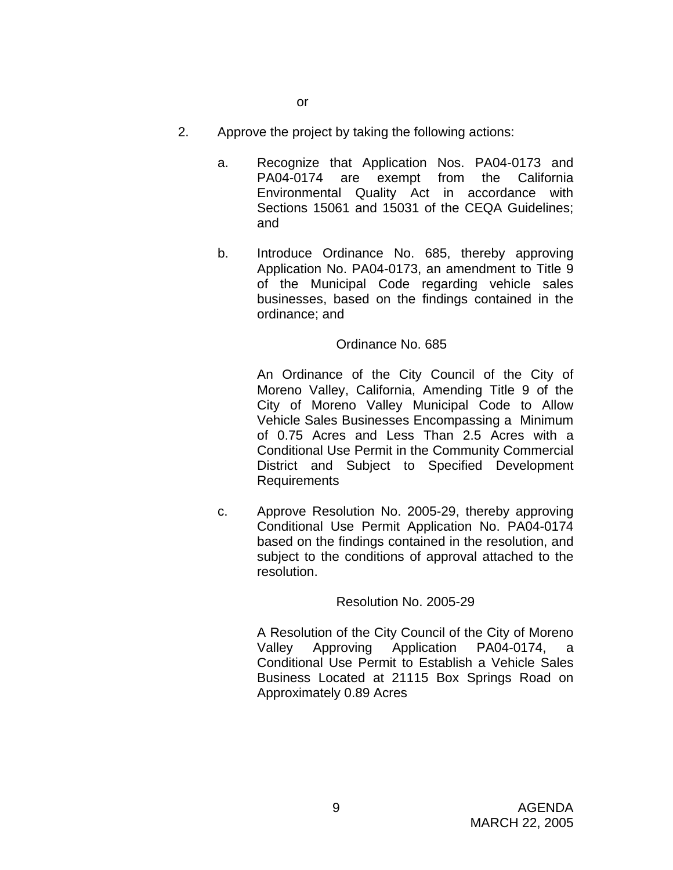- 2. Approve the project by taking the following actions:
	- a. Recognize that Application Nos. PA04-0173 and PA04-0174 are exempt from the California Environmental Quality Act in accordance with Sections 15061 and 15031 of the CEQA Guidelines; and
	- b. Introduce Ordinance No. 685, thereby approving Application No. PA04-0173, an amendment to Title 9 of the Municipal Code regarding vehicle sales businesses, based on the findings contained in the ordinance; and

#### Ordinance No. 685

An Ordinance of the City Council of the City of Moreno Valley, California, Amending Title 9 of the City of Moreno Valley Municipal Code to Allow Vehicle Sales Businesses Encompassing a Minimum of 0.75 Acres and Less Than 2.5 Acres with a Conditional Use Permit in the Community Commercial District and Subject to Specified Development Requirements

c. Approve Resolution No. 2005-29, thereby approving Conditional Use Permit Application No. PA04-0174 based on the findings contained in the resolution, and subject to the conditions of approval attached to the resolution.

#### Resolution No. 2005-29

A Resolution of the City Council of the City of Moreno Valley Approving Application PA04-0174, a Conditional Use Permit to Establish a Vehicle Sales Business Located at 21115 Box Springs Road on Approximately 0.89 Acres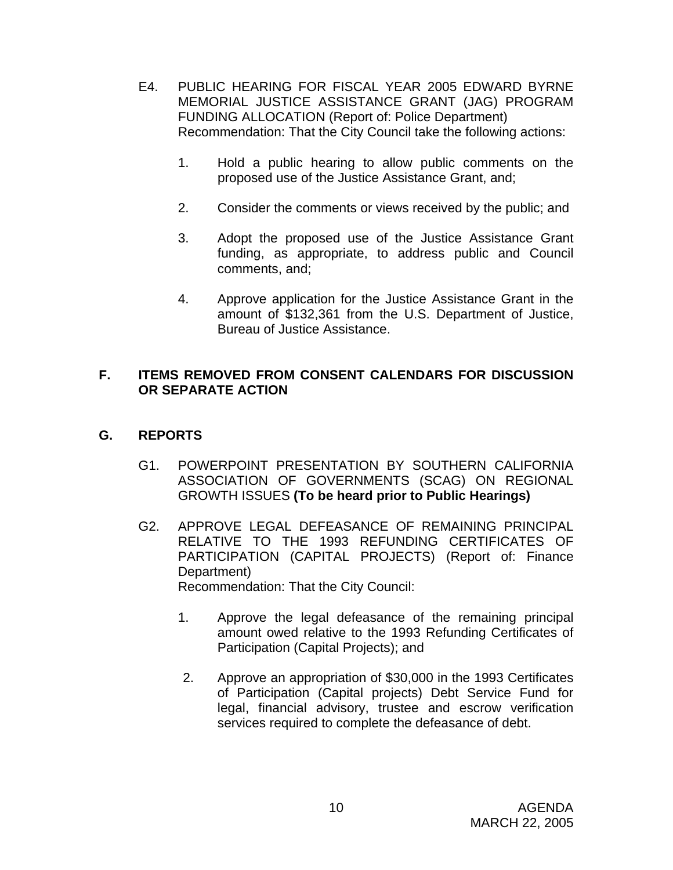- E4. PUBLIC HEARING FOR FISCAL YEAR 2005 EDWARD BYRNE MEMORIAL JUSTICE ASSISTANCE GRANT (JAG) PROGRAM FUNDING ALLOCATION (Report of: Police Department) Recommendation: That the City Council take the following actions:
	- 1. Hold a public hearing to allow public comments on the proposed use of the Justice Assistance Grant, and;
	- 2. Consider the comments or views received by the public; and
	- 3. Adopt the proposed use of the Justice Assistance Grant funding, as appropriate, to address public and Council comments, and;
	- 4. Approve application for the Justice Assistance Grant in the amount of \$132,361 from the U.S. Department of Justice, Bureau of Justice Assistance.

# **F. ITEMS REMOVED FROM CONSENT CALENDARS FOR DISCUSSION OR SEPARATE ACTION**

# **G. REPORTS**

- G1. POWERPOINT PRESENTATION BY SOUTHERN CALIFORNIA ASSOCIATION OF GOVERNMENTS (SCAG) ON REGIONAL GROWTH ISSUES **(To be heard prior to Public Hearings)**
- G2. APPROVE LEGAL DEFEASANCE OF REMAINING PRINCIPAL RELATIVE TO THE 1993 REFUNDING CERTIFICATES OF PARTICIPATION (CAPITAL PROJECTS) (Report of: Finance Department) Recommendation: That the City Council:
	- 1. Approve the legal defeasance of the remaining principal amount owed relative to the 1993 Refunding Certificates of Participation (Capital Projects); and
	- 2. Approve an appropriation of \$30,000 in the 1993 Certificates of Participation (Capital projects) Debt Service Fund for legal, financial advisory, trustee and escrow verification services required to complete the defeasance of debt.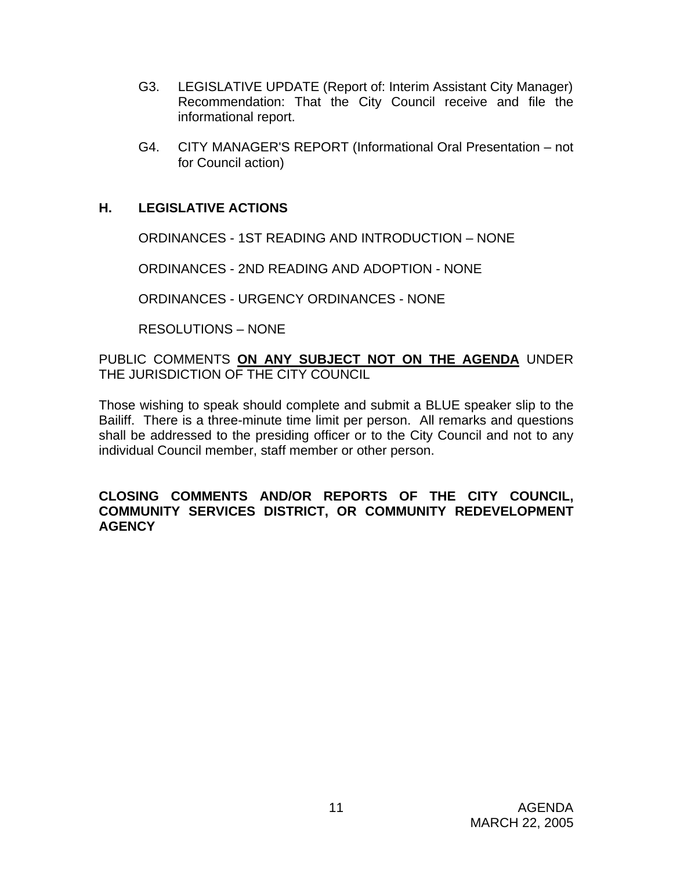- G3. LEGISLATIVE UPDATE (Report of: Interim Assistant City Manager) Recommendation: That the City Council receive and file the informational report.
- G4. CITY MANAGER'S REPORT (Informational Oral Presentation not for Council action)

# **H. LEGISLATIVE ACTIONS**

ORDINANCES - 1ST READING AND INTRODUCTION – NONE

ORDINANCES - 2ND READING AND ADOPTION - NONE

ORDINANCES - URGENCY ORDINANCES - NONE

RESOLUTIONS – NONE

PUBLIC COMMENTS **ON ANY SUBJECT NOT ON THE AGENDA** UNDER THE JURISDICTION OF THE CITY COUNCIL

Those wishing to speak should complete and submit a BLUE speaker slip to the Bailiff. There is a three-minute time limit per person. All remarks and questions shall be addressed to the presiding officer or to the City Council and not to any individual Council member, staff member or other person.

#### **CLOSING COMMENTS AND/OR REPORTS OF THE CITY COUNCIL, COMMUNITY SERVICES DISTRICT, OR COMMUNITY REDEVELOPMENT AGENCY**